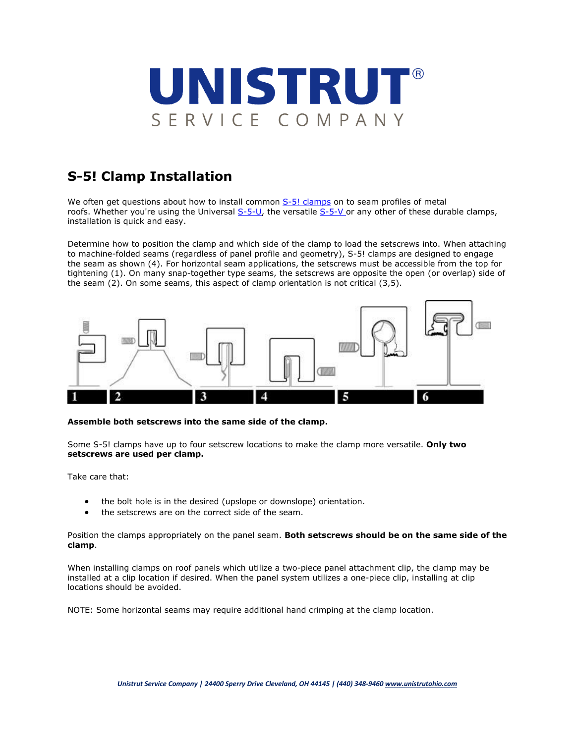

## **S-5! Clamp Installation**

We often get questions about how to install common  $S$ -5! clamps on to seam profiles of metal roofs. Whether you're using the Universal [S-5-U,](https://www.unistrutohio.com/s-5-u-clamp-for-standing-seam-roof-clamp) the versatile [S-5-V](https://www.unistrutohio.com/s-5-v-clamp-for-standing-seam-roof-clip) or any other of these durable clamps, installation is quick and easy.

Determine how to position the clamp and which side of the clamp to load the setscrews into. When attaching to machine-folded seams (regardless of panel profile and geometry), S-5! clamps are designed to engage the seam as shown (4). For horizontal seam applications, the setscrews must be accessible from the top for tightening (1). On many snap-together type seams, the setscrews are opposite the open (or overlap) side of the seam (2). On some seams, this aspect of clamp orientation is not critical (3,5).



## **Assemble both setscrews into the same side of the clamp.**

Some S-5! clamps have up to four setscrew locations to make the clamp more versatile. **Only two setscrews are used per clamp.**

Take care that:

- the bolt hole is in the desired (upslope or downslope) orientation.
- the setscrews are on the correct side of the seam.

Position the clamps appropriately on the panel seam. **Both setscrews should be on the same side of the clamp**.

When installing clamps on roof panels which utilize a two-piece panel attachment clip, the clamp may be installed at a clip location if desired. When the panel system utilizes a one-piece clip, installing at clip locations should be avoided.

NOTE: Some horizontal seams may require additional hand crimping at the clamp location.